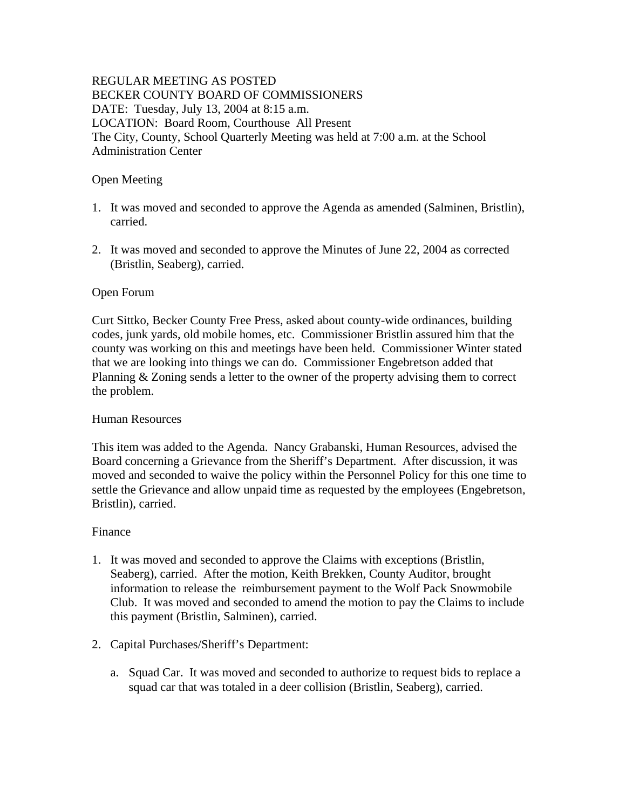## REGULAR MEETING AS POSTED BECKER COUNTY BOARD OF COMMISSIONERS DATE: Tuesday, July 13, 2004 at 8:15 a.m. LOCATION: Board Room, Courthouse All Present The City, County, School Quarterly Meeting was held at 7:00 a.m. at the School Administration Center

#### Open Meeting

- 1. It was moved and seconded to approve the Agenda as amended (Salminen, Bristlin), carried.
- 2. It was moved and seconded to approve the Minutes of June 22, 2004 as corrected (Bristlin, Seaberg), carried.

#### Open Forum

Curt Sittko, Becker County Free Press, asked about county-wide ordinances, building codes, junk yards, old mobile homes, etc. Commissioner Bristlin assured him that the county was working on this and meetings have been held. Commissioner Winter stated that we are looking into things we can do. Commissioner Engebretson added that Planning & Zoning sends a letter to the owner of the property advising them to correct the problem.

#### Human Resources

This item was added to the Agenda. Nancy Grabanski, Human Resources, advised the Board concerning a Grievance from the Sheriff's Department. After discussion, it was moved and seconded to waive the policy within the Personnel Policy for this one time to settle the Grievance and allow unpaid time as requested by the employees (Engebretson, Bristlin), carried.

#### Finance

- 1. It was moved and seconded to approve the Claims with exceptions (Bristlin, Seaberg), carried. After the motion, Keith Brekken, County Auditor, brought information to release the reimbursement payment to the Wolf Pack Snowmobile Club. It was moved and seconded to amend the motion to pay the Claims to include this payment (Bristlin, Salminen), carried.
- 2. Capital Purchases/Sheriff's Department:
	- a. Squad Car. It was moved and seconded to authorize to request bids to replace a squad car that was totaled in a deer collision (Bristlin, Seaberg), carried.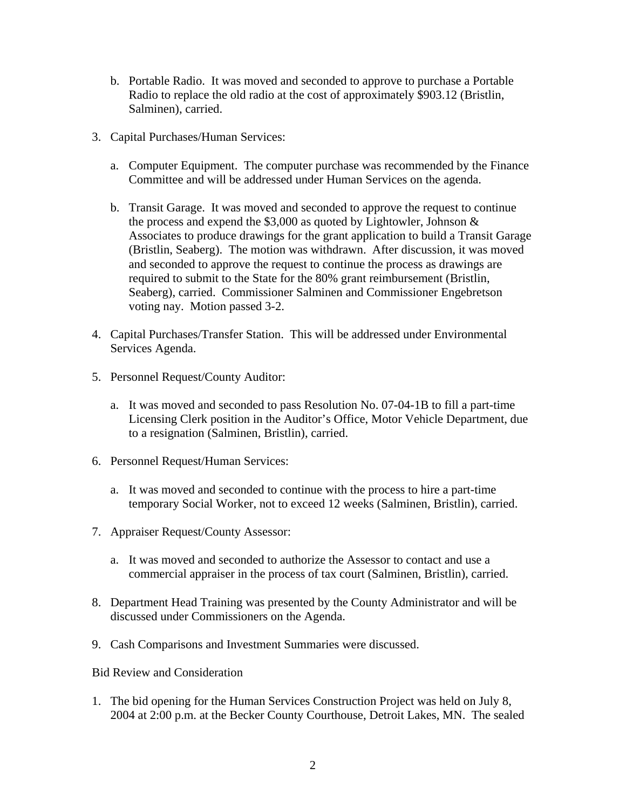- b. Portable Radio. It was moved and seconded to approve to purchase a Portable Radio to replace the old radio at the cost of approximately \$903.12 (Bristlin, Salminen), carried.
- 3. Capital Purchases/Human Services:
	- a. Computer Equipment. The computer purchase was recommended by the Finance Committee and will be addressed under Human Services on the agenda.
	- b. Transit Garage. It was moved and seconded to approve the request to continue the process and expend the  $$3,000$  as quoted by Lightowler, Johnson  $&$ Associates to produce drawings for the grant application to build a Transit Garage (Bristlin, Seaberg). The motion was withdrawn. After discussion, it was moved and seconded to approve the request to continue the process as drawings are required to submit to the State for the 80% grant reimbursement (Bristlin, Seaberg), carried. Commissioner Salminen and Commissioner Engebretson voting nay. Motion passed 3-2.
- 4. Capital Purchases/Transfer Station. This will be addressed under Environmental Services Agenda.
- 5. Personnel Request/County Auditor:
	- a. It was moved and seconded to pass Resolution No. 07-04-1B to fill a part-time Licensing Clerk position in the Auditor's Office, Motor Vehicle Department, due to a resignation (Salminen, Bristlin), carried.
- 6. Personnel Request/Human Services:
	- a. It was moved and seconded to continue with the process to hire a part-time temporary Social Worker, not to exceed 12 weeks (Salminen, Bristlin), carried.
- 7. Appraiser Request/County Assessor:
	- a. It was moved and seconded to authorize the Assessor to contact and use a commercial appraiser in the process of tax court (Salminen, Bristlin), carried.
- 8. Department Head Training was presented by the County Administrator and will be discussed under Commissioners on the Agenda.
- 9. Cash Comparisons and Investment Summaries were discussed.

Bid Review and Consideration

1. The bid opening for the Human Services Construction Project was held on July 8, 2004 at 2:00 p.m. at the Becker County Courthouse, Detroit Lakes, MN. The sealed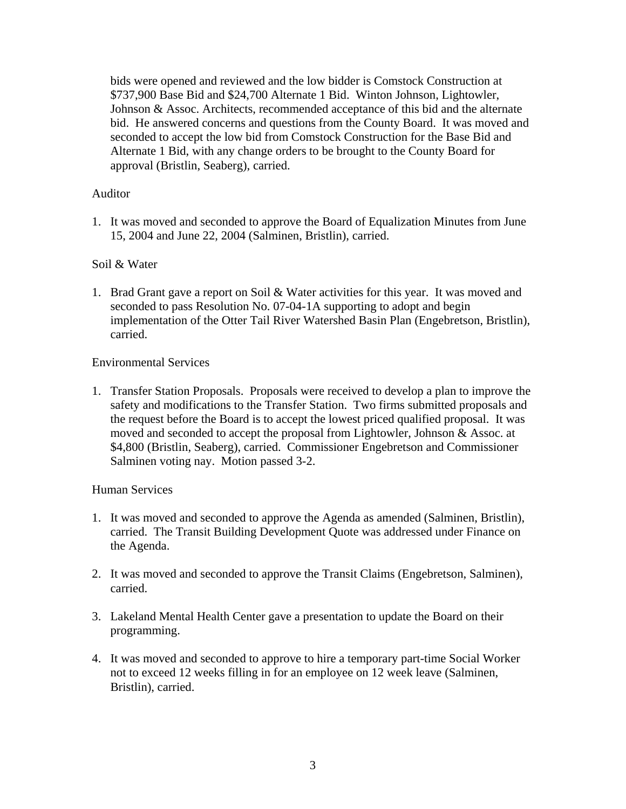bids were opened and reviewed and the low bidder is Comstock Construction at \$737,900 Base Bid and \$24,700 Alternate 1 Bid. Winton Johnson, Lightowler, Johnson & Assoc. Architects, recommended acceptance of this bid and the alternate bid. He answered concerns and questions from the County Board. It was moved and seconded to accept the low bid from Comstock Construction for the Base Bid and Alternate 1 Bid, with any change orders to be brought to the County Board for approval (Bristlin, Seaberg), carried.

## Auditor

1. It was moved and seconded to approve the Board of Equalization Minutes from June 15, 2004 and June 22, 2004 (Salminen, Bristlin), carried.

## Soil & Water

1. Brad Grant gave a report on Soil & Water activities for this year. It was moved and seconded to pass Resolution No. 07-04-1A supporting to adopt and begin implementation of the Otter Tail River Watershed Basin Plan (Engebretson, Bristlin), carried.

## Environmental Services

1. Transfer Station Proposals. Proposals were received to develop a plan to improve the safety and modifications to the Transfer Station. Two firms submitted proposals and the request before the Board is to accept the lowest priced qualified proposal. It was moved and seconded to accept the proposal from Lightowler, Johnson & Assoc. at \$4,800 (Bristlin, Seaberg), carried. Commissioner Engebretson and Commissioner Salminen voting nay. Motion passed 3-2.

# Human Services

- 1. It was moved and seconded to approve the Agenda as amended (Salminen, Bristlin), carried. The Transit Building Development Quote was addressed under Finance on the Agenda.
- 2. It was moved and seconded to approve the Transit Claims (Engebretson, Salminen), carried.
- 3. Lakeland Mental Health Center gave a presentation to update the Board on their programming.
- 4. It was moved and seconded to approve to hire a temporary part-time Social Worker not to exceed 12 weeks filling in for an employee on 12 week leave (Salminen, Bristlin), carried.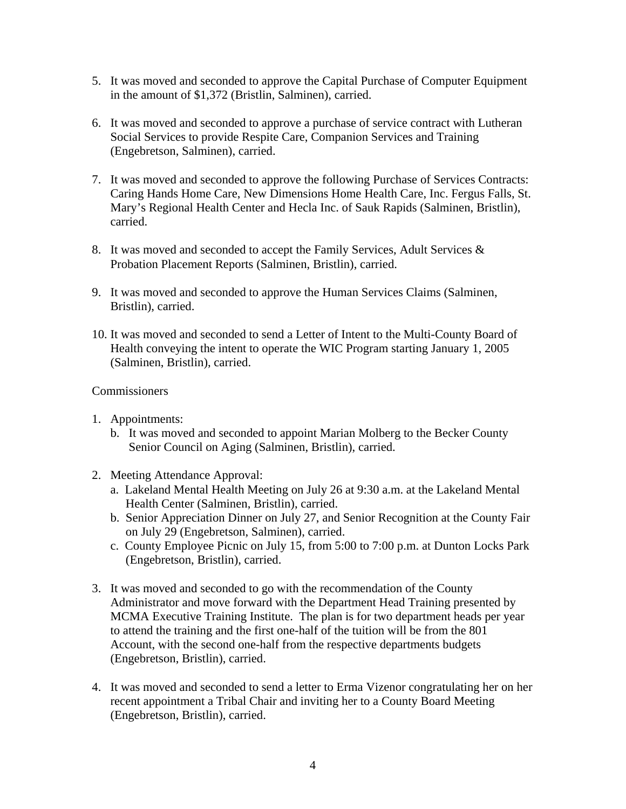- 5. It was moved and seconded to approve the Capital Purchase of Computer Equipment in the amount of \$1,372 (Bristlin, Salminen), carried.
- 6. It was moved and seconded to approve a purchase of service contract with Lutheran Social Services to provide Respite Care, Companion Services and Training (Engebretson, Salminen), carried.
- 7. It was moved and seconded to approve the following Purchase of Services Contracts: Caring Hands Home Care, New Dimensions Home Health Care, Inc. Fergus Falls, St. Mary's Regional Health Center and Hecla Inc. of Sauk Rapids (Salminen, Bristlin), carried.
- 8. It was moved and seconded to accept the Family Services, Adult Services & Probation Placement Reports (Salminen, Bristlin), carried.
- 9. It was moved and seconded to approve the Human Services Claims (Salminen, Bristlin), carried.
- 10. It was moved and seconded to send a Letter of Intent to the Multi-County Board of Health conveying the intent to operate the WIC Program starting January 1, 2005 (Salminen, Bristlin), carried.

## Commissioners

- 1. Appointments:
	- b. It was moved and seconded to appoint Marian Molberg to the Becker County Senior Council on Aging (Salminen, Bristlin), carried.
- 2. Meeting Attendance Approval:
	- a. Lakeland Mental Health Meeting on July 26 at 9:30 a.m. at the Lakeland Mental Health Center (Salminen, Bristlin), carried.
	- b. Senior Appreciation Dinner on July 27, and Senior Recognition at the County Fair on July 29 (Engebretson, Salminen), carried.
	- c. County Employee Picnic on July 15, from 5:00 to 7:00 p.m. at Dunton Locks Park (Engebretson, Bristlin), carried.
- 3. It was moved and seconded to go with the recommendation of the County Administrator and move forward with the Department Head Training presented by MCMA Executive Training Institute. The plan is for two department heads per year to attend the training and the first one-half of the tuition will be from the 801 Account, with the second one-half from the respective departments budgets (Engebretson, Bristlin), carried.
- 4. It was moved and seconded to send a letter to Erma Vizenor congratulating her on her recent appointment a Tribal Chair and inviting her to a County Board Meeting (Engebretson, Bristlin), carried.